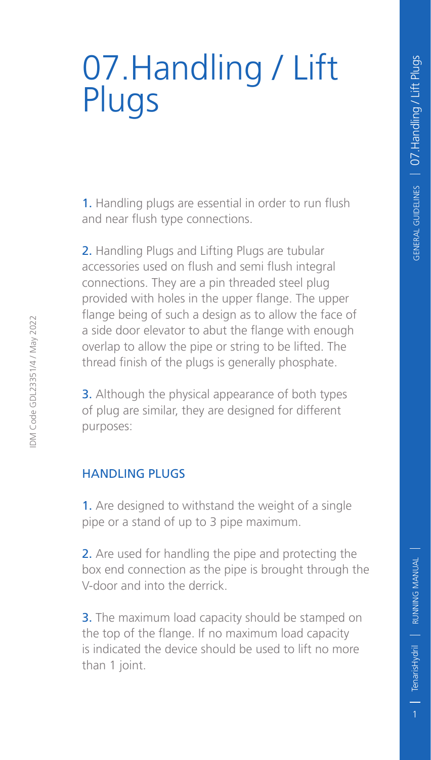# 07.Handling / Lift Plugs

1. Handling plugs are essential in order to run flush and near flush type connections.

2. Handling Plugs and Lifting Plugs are tubular accessories used on flush and semi flush integral connections. They are a pin threaded steel plug provided with holes in the upper flange. The upper flange being of such a design as to allow the face of a side door elevator to abut the flange with enough overlap to allow the pipe or string to be lifted. The thread finish of the plugs is generally phosphate.

**3.** Although the physical appearance of both types of plug are similar, they are designed for different purposes:

#### Handling Plugs

1. Are designed to withstand the weight of a single pipe or a stand of up to 3 pipe maximum.

2. Are used for handling the pipe and protecting the box end connection as the pipe is brought through the V-door and into the derrick.

**3.** The maximum load capacity should be stamped on the top of the flange. If no maximum load capacity is indicated the device should be used to lift no more than 1 joint.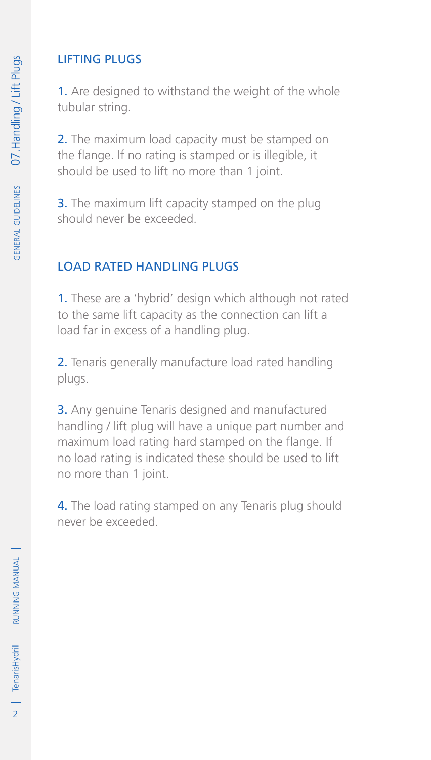# Lifting Plugs

1. Are designed to withstand the weight of the whole tubular string.

2. The maximum load capacity must be stamped on the flange. If no rating is stamped or is illegible, it should be used to lift no more than 1 joint.

**3.** The maximum lift capacity stamped on the plug should never be exceeded.

### Load Rated Handling Plugs

1. These are a 'hybrid' design which although not rated to the same lift capacity as the connection can lift a load far in excess of a handling plug.

2. Tenaris generally manufacture load rated handling plugs.

3. Any genuine Tenaris designed and manufactured handling / lift plug will have a unique part number and maximum load rating hard stamped on the flange. If no load rating is indicated these should be used to lift no more than 1 joint.

4. The load rating stamped on any Tenaris plug should never be exceeded.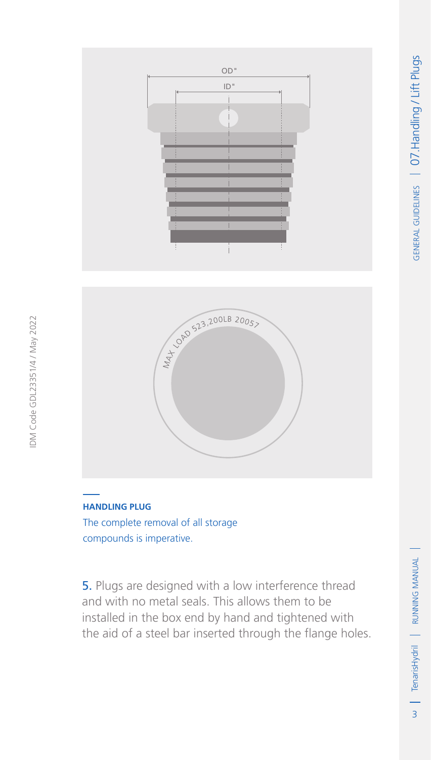



#### **Handling Plug**

IDM Code GDL23351/4 / May 2022

IDM Code GDL23351/4 / May 2022

The complete removal of all storage compounds is imperative.

5. Plugs are designed with a low interference thread and with no metal seals. This allows them to be installed in the box end by hand and tightened with the aid of a steel bar inserted through the flange holes.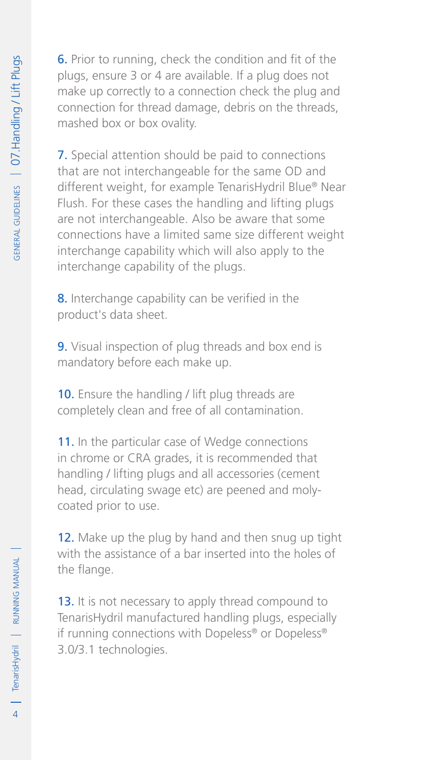6. Prior to running, check the condition and fit of the plugs, ensure 3 or 4 are available. If a plug does not make up correctly to a connection check the plug and connection for thread damage, debris on the threads, mashed box or box ovality.

7. Special attention should be paid to connections that are not interchangeable for the same OD and different weight, for example TenarisHydril Blue® Near Flush. For these cases the handling and lifting plugs are not interchangeable. Also be aware that some connections have a limited same size different weight interchange capability which will also apply to the interchange capability of the plugs.

8. Interchange capability can be verified in the product's data sheet.

9. Visual inspection of plug threads and box end is mandatory before each make up.

10. Ensure the handling / lift plug threads are completely clean and free of all contamination.

11. In the particular case of Wedge connections in chrome or CRA grades, it is recommended that handling / lifting plugs and all accessories (cement head, circulating swage etc) are peened and molycoated prior to use.

12. Make up the plug by hand and then snug up tight with the assistance of a bar inserted into the holes of the flange.

13. It is not necessary to apply thread compound to TenarisHydril manufactured handling plugs, especially if running connections with Dopeless® or Dopeless® 3.0/3.1 technologies.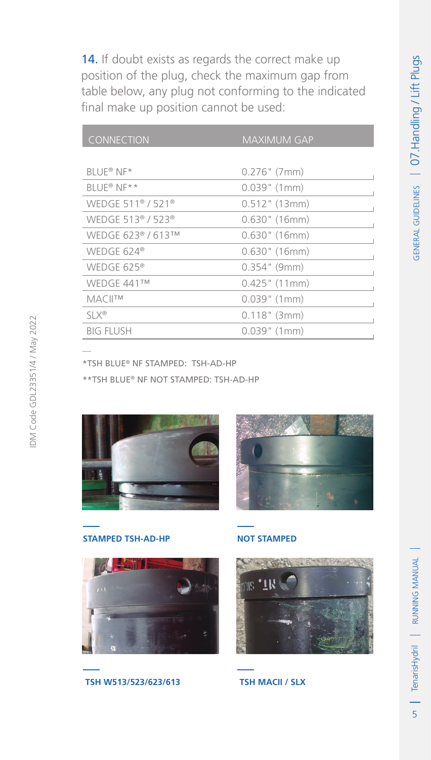14. If doubt exists as regards the correct make up position of the plug, check the maximum gap from table below, any plug not conforming to the indicated final make up position cannot be used:

| CONNECTION                                | <b>MAXIMUM GAP</b> |
|-------------------------------------------|--------------------|
|                                           |                    |
| BLUE® NF*                                 | $0.276$ " (7mm)    |
| BLUE® NE**                                | $0.039$ " (1mm)    |
| WEDGE 511 <sup>®</sup> / 521 <sup>®</sup> | $0.512$ " (13mm)   |
| WEDGE 513 <sup>®</sup> / 523 <sup>®</sup> | $0.630$ " (16mm)   |
| WEDGE 623® / 613™                         | $0.630$ " (16mm)   |
| WEDGE 624 $\textdegree$                   | $0.630$ " (16mm)   |
| WEDGE 625®                                | $0.354$ " (9mm)    |
| WEDGE 441™                                | $0.425$ " (11mm)   |
| <b>MACILTM</b>                            | $0.039$ " (1mm)    |
| $SLX^{\circledR}$                         | $0.118"$ (3mm)     |
| <b>BIG FLUSH</b>                          | $0.039$ " (1mm)    |

\*TSH BLUE® NF Stamped: TSH-AD-HP

\*\*TSH BLUE® NF Not Stamped: TSH-AD-HP





**Stamped TSH-AD-HP**





**Not Stamped**



**TSH MACII / SLX**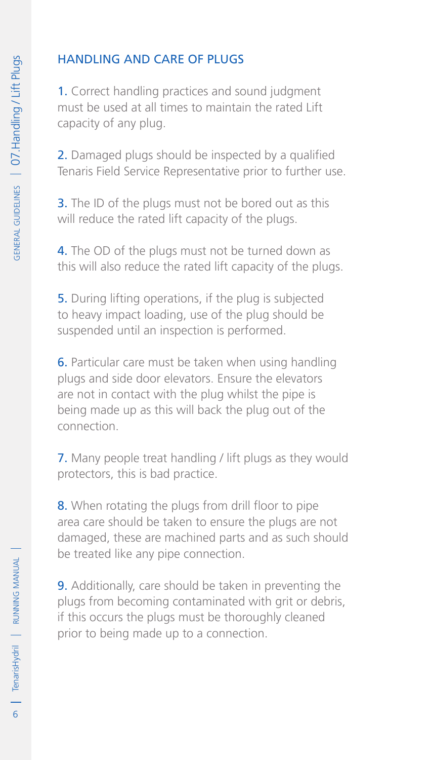# Handling and Care of Plugs

1. Correct handling practices and sound judgment must be used at all times to maintain the rated Lift capacity of any plug.

2. Damaged plugs should be inspected by a qualified Tenaris Field Service Representative prior to further use.

**3.** The ID of the plugs must not be bored out as this will reduce the rated lift capacity of the plugs.

4. The OD of the plugs must not be turned down as this will also reduce the rated lift capacity of the plugs.

5. During lifting operations, if the plug is subjected to heavy impact loading, use of the plug should be suspended until an inspection is performed.

6. Particular care must be taken when using handling plugs and side door elevators. Ensure the elevators are not in contact with the plug whilst the pipe is being made up as this will back the plug out of the connection.

7. Many people treat handling / lift plugs as they would protectors, this is bad practice.

8. When rotating the plugs from drill floor to pipe area care should be taken to ensure the plugs are not damaged, these are machined parts and as such should be treated like any pipe connection.

9. Additionally, care should be taken in preventing the plugs from becoming contaminated with grit or debris, if this occurs the plugs must be thoroughly cleaned prior to being made up to a connection.